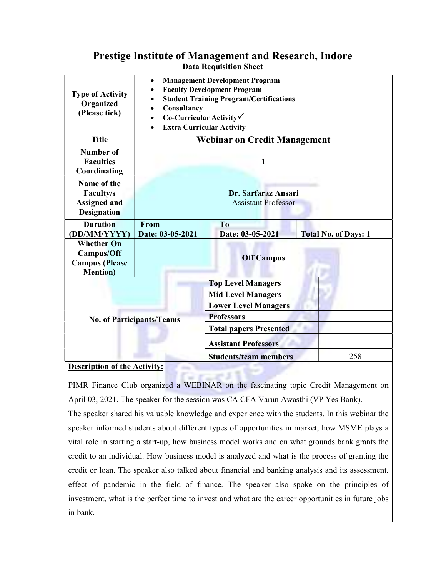## Prestige Institute of Management and Research, Indore Data Requisition Sheet

| <b>Type of Activity</b><br>Organized<br>(Please tick)                               | <b>Management Development Program</b><br>$\bullet$<br><b>Faculty Development Program</b><br><b>Student Training Program/Certifications</b><br>Consultancy<br>$Co-Curricular$ Activity<br><b>Extra Curricular Activity</b> |                                                                               |                             |
|-------------------------------------------------------------------------------------|---------------------------------------------------------------------------------------------------------------------------------------------------------------------------------------------------------------------------|-------------------------------------------------------------------------------|-----------------------------|
| <b>Title</b>                                                                        | <b>Webinar on Credit Management</b>                                                                                                                                                                                       |                                                                               |                             |
| <b>Number of</b><br><b>Faculties</b><br>Coordinating                                | 1                                                                                                                                                                                                                         |                                                                               |                             |
| Name of the<br><b>Faculty/s</b><br><b>Assigned and</b><br><b>Designation</b>        | Dr. Sarfaraz Ansari<br><b>Assistant Professor</b>                                                                                                                                                                         |                                                                               |                             |
| <b>Duration</b><br>DD/MM/YYYY)                                                      | From<br>Date: 03-05-2021                                                                                                                                                                                                  | T <sub>0</sub><br>Date: 03-05-2021                                            | <b>Total No. of Days: 1</b> |
| <b>Whether On</b><br><b>Campus/Off</b><br><b>Campus</b> (Please<br><b>Mention</b> ) | <b>Off Campus</b>                                                                                                                                                                                                         |                                                                               |                             |
|                                                                                     |                                                                                                                                                                                                                           | <b>Top Level Managers</b>                                                     |                             |
| <b>No. of Participants/Teams</b>                                                    |                                                                                                                                                                                                                           | <b>Mid Level Managers</b><br><b>Lower Level Managers</b><br><b>Professors</b> |                             |
|                                                                                     |                                                                                                                                                                                                                           | <b>Total papers Presented</b>                                                 |                             |
|                                                                                     |                                                                                                                                                                                                                           | <b>Assistant Professors</b>                                                   |                             |
| Description of the Activity.                                                        |                                                                                                                                                                                                                           | <b>Students/team members</b>                                                  | 258                         |

## Description of the Activity:

PIMR Finance Club organized a WEBINAR on the fascinating topic Credit Management on April 03, 2021. The speaker for the session was CA CFA Varun Awasthi (VP Yes Bank).

The speaker shared his valuable knowledge and experience with the students. In this webinar the speaker informed students about different types of opportunities in market, how MSME plays a vital role in starting a start-up, how business model works and on what grounds bank grants the credit to an individual. How business model is analyzed and what is the process of granting the credit or loan. The speaker also talked about financial and banking analysis and its assessment, effect of pandemic in the field of finance. The speaker also spoke on the principles of investment, what is the perfect time to invest and what are the career opportunities in future jobs in bank.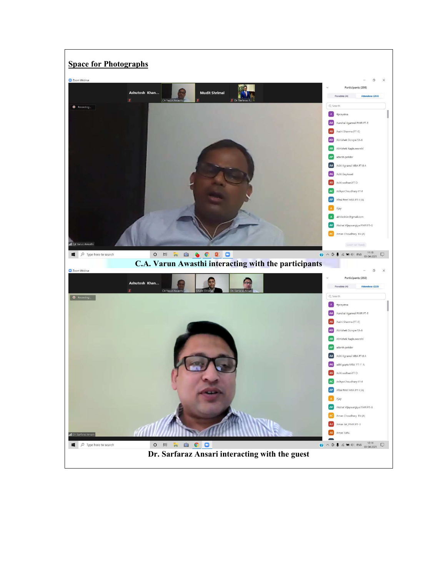